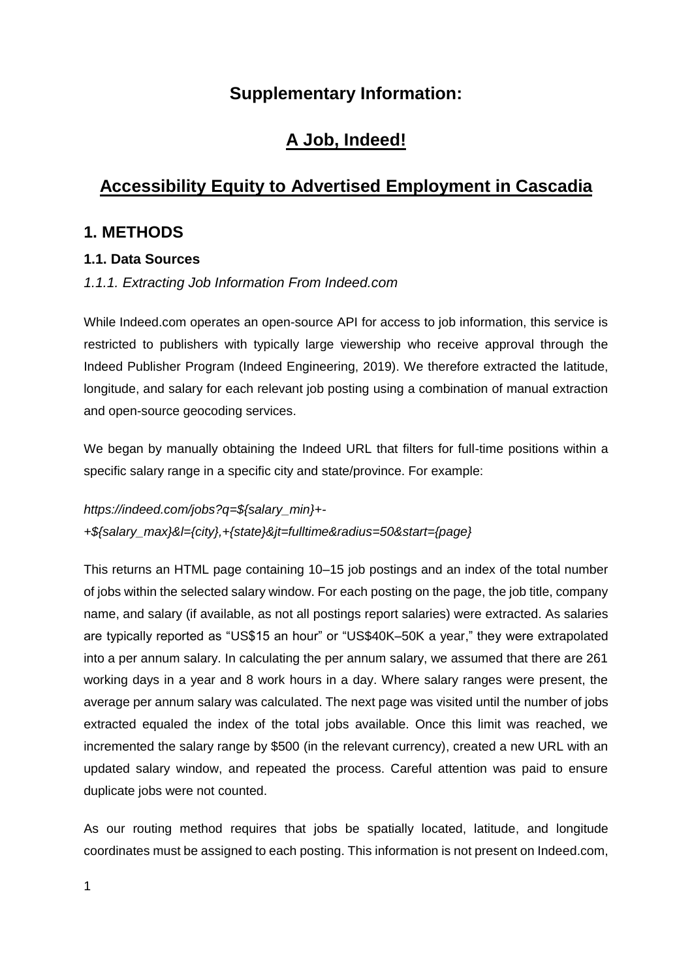# **Supplementary Information:**

# **A Job, Indeed!**

# **Accessibility Equity to Advertised Employment in Cascadia**

# **1. METHODS**

## **1.1. Data Sources**

## *1.1.1. Extracting Job Information From Indeed.com*

While Indeed.com operates an open-source API for access to job information, this service is restricted to publishers with typically large viewership who receive approval through the Indeed Publisher Program (Indeed Engineering, 2019). We therefore extracted the latitude, longitude, and salary for each relevant job posting using a combination of manual extraction and open-source geocoding services.

We began by manually obtaining the Indeed URL that filters for full-time positions within a specific salary range in a specific city and state/province. For example:

*https://indeed.com/jobs?q=\${salary\_min}+- +\${salary\_max}&l={city},+{state}&jt=fulltime&radius=50&start={page}*

This returns an HTML page containing 10–15 job postings and an index of the total number of jobs within the selected salary window. For each posting on the page, the job title, company name, and salary (if available, as not all postings report salaries) were extracted. As salaries are typically reported as "US\$15 an hour" or "US\$40K–50K a year," they were extrapolated into a per annum salary. In calculating the per annum salary, we assumed that there are 261 working days in a year and 8 work hours in a day. Where salary ranges were present, the average per annum salary was calculated. The next page was visited until the number of jobs extracted equaled the index of the total jobs available. Once this limit was reached, we incremented the salary range by \$500 (in the relevant currency), created a new URL with an updated salary window, and repeated the process. Careful attention was paid to ensure duplicate jobs were not counted.

As our routing method requires that jobs be spatially located, latitude, and longitude coordinates must be assigned to each posting. This information is not present on Indeed.com,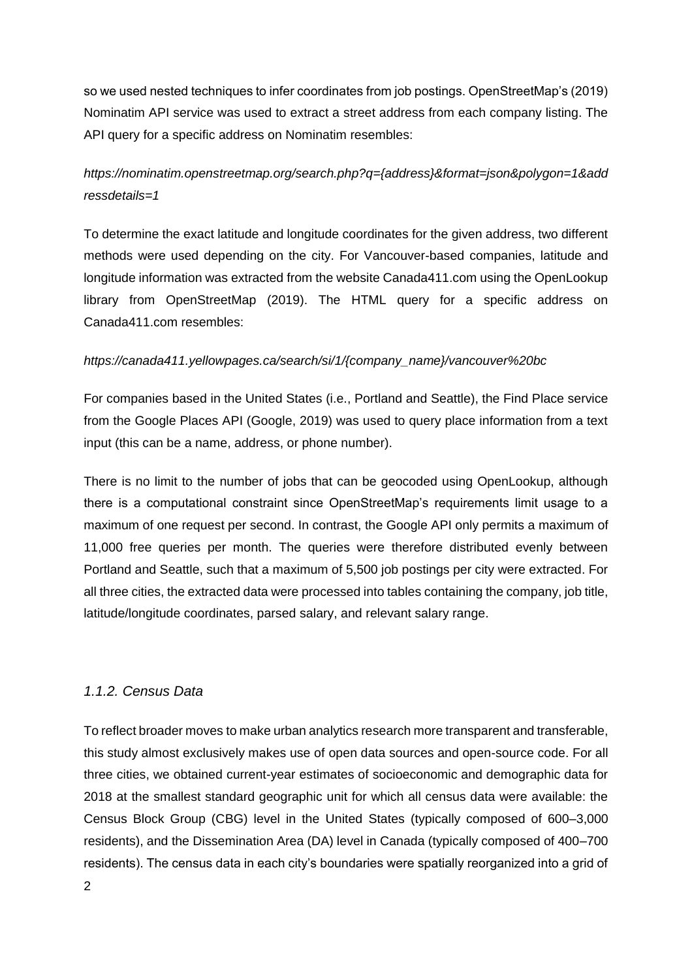so we used nested techniques to infer coordinates from job postings. OpenStreetMap's (2019) Nominatim API service was used to extract a street address from each company listing. The API query for a specific address on Nominatim resembles:

# *https://nominatim.openstreetmap.org/search.php?q={address}&format=json&polygon=1&add ressdetails=1*

To determine the exact latitude and longitude coordinates for the given address, two different methods were used depending on the city. For Vancouver-based companies, latitude and longitude information was extracted from the website Canada411.com using the OpenLookup library from OpenStreetMap (2019). The HTML query for a specific address on Canada411.com resembles:

### *https://canada411.yellowpages.ca/search/si/1/{company\_name}/vancouver%20bc*

For companies based in the United States (i.e., Portland and Seattle), the Find Place service from the Google Places API (Google, 2019) was used to query place information from a text input (this can be a name, address, or phone number).

There is no limit to the number of jobs that can be geocoded using OpenLookup, although there is a computational constraint since OpenStreetMap's requirements limit usage to a maximum of one request per second. In contrast, the Google API only permits a maximum of 11,000 free queries per month. The queries were therefore distributed evenly between Portland and Seattle, such that a maximum of 5,500 job postings per city were extracted. For all three cities, the extracted data were processed into tables containing the company, job title, latitude/longitude coordinates, parsed salary, and relevant salary range.

### *1.1.2. Census Data*

To reflect broader moves to make urban analytics research more transparent and transferable, this study almost exclusively makes use of open data sources and open-source code. For all three cities, we obtained current-year estimates of socioeconomic and demographic data for 2018 at the smallest standard geographic unit for which all census data were available: the Census Block Group (CBG) level in the United States (typically composed of 600–3,000 residents), and the Dissemination Area (DA) level in Canada (typically composed of 400–700 residents). The census data in each city's boundaries were spatially reorganized into a grid of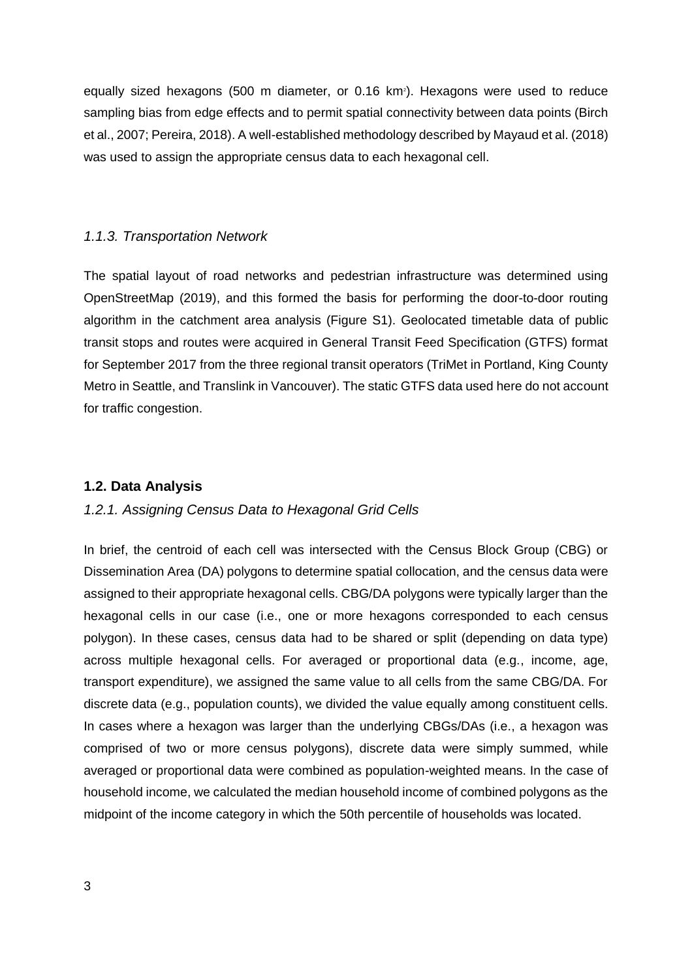equally sized hexagons (500 m diameter, or 0.16 km<sup>2</sup>). Hexagons were used to reduce sampling bias from edge effects and to permit spatial connectivity between data points (Birch et al., 2007; Pereira, 2018). A well-established methodology described by Mayaud et al. (2018) was used to assign the appropriate census data to each hexagonal cell.

#### *1.1.3. Transportation Network*

The spatial layout of road networks and pedestrian infrastructure was determined using OpenStreetMap (2019), and this formed the basis for performing the door-to-door routing algorithm in the catchment area analysis (Figure S1). Geolocated timetable data of public transit stops and routes were acquired in General Transit Feed Specification (GTFS) format for September 2017 from the three regional transit operators (TriMet in Portland, King County Metro in Seattle, and Translink in Vancouver). The static GTFS data used here do not account for traffic congestion.

#### **1.2. Data Analysis**

#### *1.2.1. Assigning Census Data to Hexagonal Grid Cells*

In brief, the centroid of each cell was intersected with the Census Block Group (CBG) or Dissemination Area (DA) polygons to determine spatial collocation, and the census data were assigned to their appropriate hexagonal cells. CBG/DA polygons were typically larger than the hexagonal cells in our case (i.e., one or more hexagons corresponded to each census polygon). In these cases, census data had to be shared or split (depending on data type) across multiple hexagonal cells. For averaged or proportional data (e.g., income, age, transport expenditure), we assigned the same value to all cells from the same CBG/DA. For discrete data (e.g., population counts), we divided the value equally among constituent cells. In cases where a hexagon was larger than the underlying CBGs/DAs (i.e., a hexagon was comprised of two or more census polygons), discrete data were simply summed, while averaged or proportional data were combined as population-weighted means. In the case of household income, we calculated the median household income of combined polygons as the midpoint of the income category in which the 50th percentile of households was located.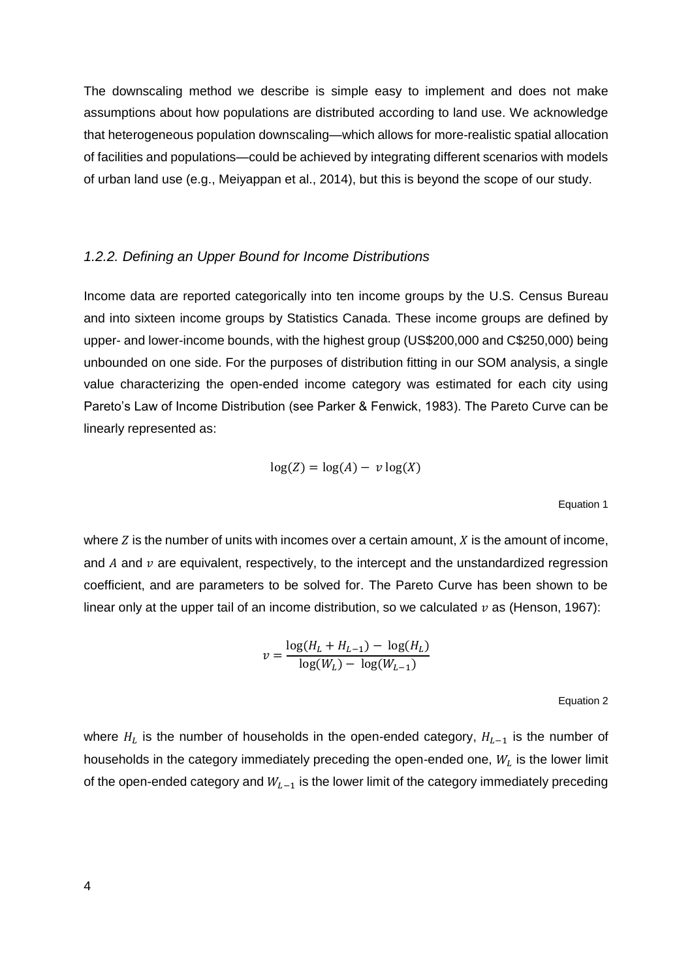The downscaling method we describe is simple easy to implement and does not make assumptions about how populations are distributed according to land use. We acknowledge that heterogeneous population downscaling—which allows for more-realistic spatial allocation of facilities and populations—could be achieved by integrating different scenarios with models of urban land use (e.g., Meiyappan et al., 2014), but this is beyond the scope of our study.

#### *1.2.2. Defining an Upper Bound for Income Distributions*

Income data are reported categorically into ten income groups by the U.S. Census Bureau and into sixteen income groups by Statistics Canada. These income groups are defined by upper- and lower-income bounds, with the highest group (US\$200,000 and C\$250,000) being unbounded on one side. For the purposes of distribution fitting in our SOM analysis, a single value characterizing the open-ended income category was estimated for each city using Pareto's Law of Income Distribution (see Parker & Fenwick, 1983). The Pareto Curve can be linearly represented as:

$$
\log(Z) = \log(A) - v \log(X)
$$

Equation 1

where  $Z$  is the number of units with incomes over a certain amount,  $X$  is the amount of income, and  $A$  and  $\nu$  are equivalent, respectively, to the intercept and the unstandardized regression coefficient, and are parameters to be solved for. The Pareto Curve has been shown to be linear only at the upper tail of an income distribution, so we calculated  $\nu$  as (Henson, 1967):

$$
v = \frac{\log(H_L + H_{L-1}) - \log(H_L)}{\log(W_L) - \log(W_{L-1})}
$$

Equation 2

where  $H_L$  is the number of households in the open-ended category,  $H_{L-1}$  is the number of households in the category immediately preceding the open-ended one,  $W_L$  is the lower limit of the open-ended category and  $W_{L-1}$  is the lower limit of the category immediately preceding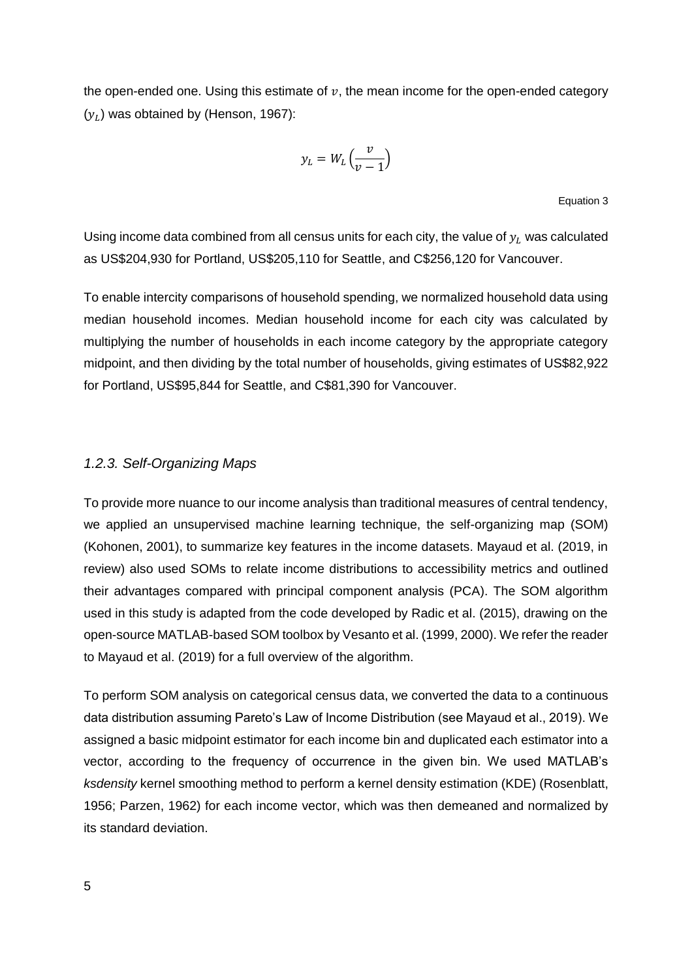the open-ended one. Using this estimate of  $v$ , the mean income for the open-ended category  $(y_L)$  was obtained by (Henson, 1967):

$$
y_L = W_L \left(\frac{v}{v-1}\right)
$$

Equation 3

Using income data combined from all census units for each city, the value of  $y_L$  was calculated as US\$204,930 for Portland, US\$205,110 for Seattle, and C\$256,120 for Vancouver.

To enable intercity comparisons of household spending, we normalized household data using median household incomes. Median household income for each city was calculated by multiplying the number of households in each income category by the appropriate category midpoint, and then dividing by the total number of households, giving estimates of US\$82,922 for Portland, US\$95,844 for Seattle, and C\$81,390 for Vancouver.

#### *1.2.3. Self-Organizing Maps*

To provide more nuance to our income analysis than traditional measures of central tendency, we applied an unsupervised machine learning technique, the self-organizing map (SOM) (Kohonen, 2001), to summarize key features in the income datasets. Mayaud et al. (2019, in review) also used SOMs to relate income distributions to accessibility metrics and outlined their advantages compared with principal component analysis (PCA). The SOM algorithm used in this study is adapted from the code developed by Radic et al. (2015), drawing on the open-source MATLAB-based SOM toolbox by Vesanto et al. (1999, 2000). We refer the reader to Mayaud et al. (2019) for a full overview of the algorithm.

To perform SOM analysis on categorical census data, we converted the data to a continuous data distribution assuming Pareto's Law of Income Distribution (see Mayaud et al., 2019). We assigned a basic midpoint estimator for each income bin and duplicated each estimator into a vector, according to the frequency of occurrence in the given bin. We used MATLAB's *ksdensity* kernel smoothing method to perform a kernel density estimation (KDE) (Rosenblatt, 1956; Parzen, 1962) for each income vector, which was then demeaned and normalized by its standard deviation.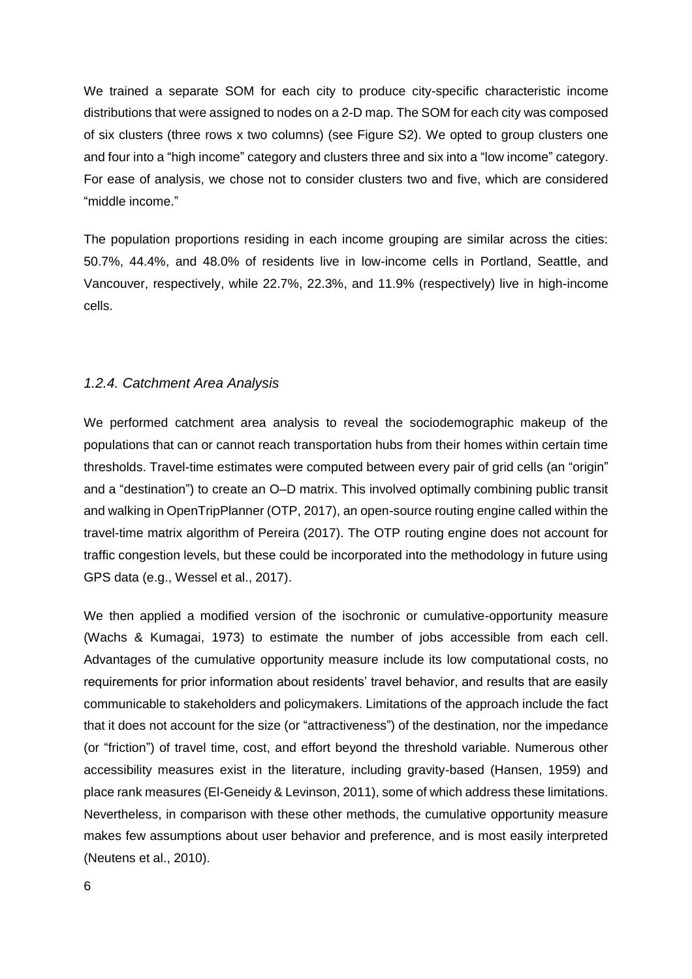We trained a separate SOM for each city to produce city-specific characteristic income distributions that were assigned to nodes on a 2-D map. The SOM for each city was composed of six clusters (three rows x two columns) (see Figure S2). We opted to group clusters one and four into a "high income" category and clusters three and six into a "low income" category. For ease of analysis, we chose not to consider clusters two and five, which are considered "middle income."

The population proportions residing in each income grouping are similar across the cities: 50.7%, 44.4%, and 48.0% of residents live in low-income cells in Portland, Seattle, and Vancouver, respectively, while 22.7%, 22.3%, and 11.9% (respectively) live in high-income cells.

#### *1.2.4. Catchment Area Analysis*

We performed catchment area analysis to reveal the sociodemographic makeup of the populations that can or cannot reach transportation hubs from their homes within certain time thresholds. Travel-time estimates were computed between every pair of grid cells (an "origin" and a "destination") to create an O–D matrix. This involved optimally combining public transit and walking in OpenTripPlanner (OTP, 2017), an open-source routing engine called within the travel-time matrix algorithm of Pereira (2017). The OTP routing engine does not account for traffic congestion levels, but these could be incorporated into the methodology in future using GPS data (e.g., Wessel et al., 2017).

We then applied a modified version of the isochronic or cumulative-opportunity measure (Wachs & Kumagai, 1973) to estimate the number of jobs accessible from each cell. Advantages of the cumulative opportunity measure include its low computational costs, no requirements for prior information about residents' travel behavior, and results that are easily communicable to stakeholders and policymakers. Limitations of the approach include the fact that it does not account for the size (or "attractiveness") of the destination, nor the impedance (or "friction") of travel time, cost, and effort beyond the threshold variable. Numerous other accessibility measures exist in the literature, including gravity-based (Hansen, 1959) and place rank measures (El-Geneidy & Levinson, 2011), some of which address these limitations. Nevertheless, in comparison with these other methods, the cumulative opportunity measure makes few assumptions about user behavior and preference, and is most easily interpreted (Neutens et al., 2010).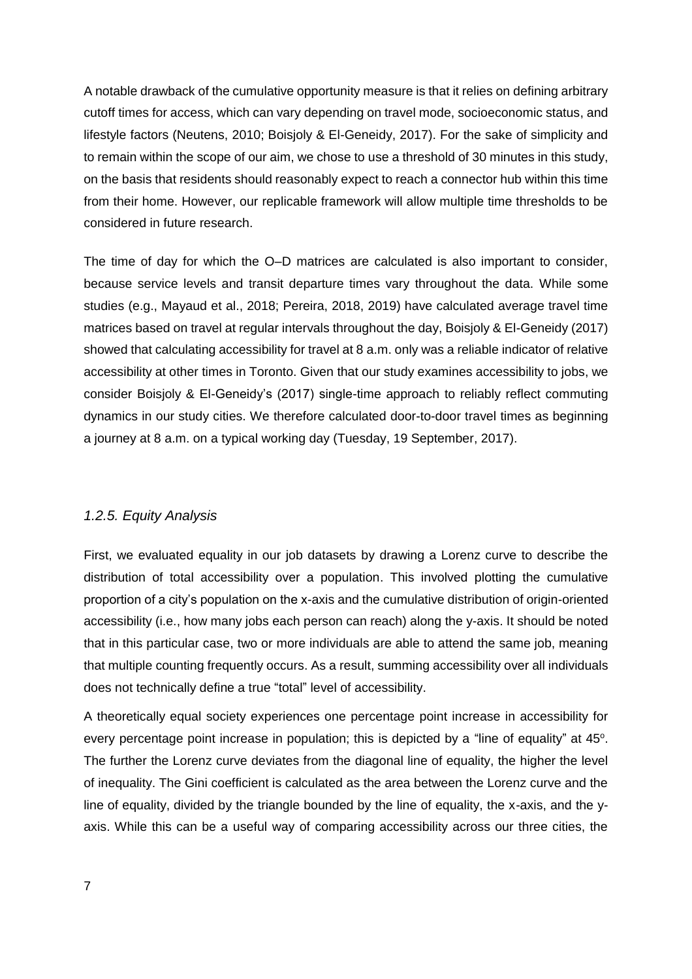A notable drawback of the cumulative opportunity measure is that it relies on defining arbitrary cutoff times for access, which can vary depending on travel mode, socioeconomic status, and lifestyle factors (Neutens, 2010; Boisjoly & El-Geneidy, 2017). For the sake of simplicity and to remain within the scope of our aim, we chose to use a threshold of 30 minutes in this study, on the basis that residents should reasonably expect to reach a connector hub within this time from their home. However, our replicable framework will allow multiple time thresholds to be considered in future research.

The time of day for which the O–D matrices are calculated is also important to consider, because service levels and transit departure times vary throughout the data. While some studies (e.g., Mayaud et al., 2018; Pereira, 2018, 2019) have calculated average travel time matrices based on travel at regular intervals throughout the day, Boisjoly & El-Geneidy (2017) showed that calculating accessibility for travel at 8 a.m. only was a reliable indicator of relative accessibility at other times in Toronto. Given that our study examines accessibility to jobs, we consider Boisjoly & El-Geneidy's (2017) single-time approach to reliably reflect commuting dynamics in our study cities. We therefore calculated door-to-door travel times as beginning a journey at 8 a.m. on a typical working day (Tuesday, 19 September, 2017).

#### *1.2.5. Equity Analysis*

First, we evaluated equality in our job datasets by drawing a Lorenz curve to describe the distribution of total accessibility over a population. This involved plotting the cumulative proportion of a city's population on the x-axis and the cumulative distribution of origin-oriented accessibility (i.e., how many jobs each person can reach) along the y-axis. It should be noted that in this particular case, two or more individuals are able to attend the same job, meaning that multiple counting frequently occurs. As a result, summing accessibility over all individuals does not technically define a true "total" level of accessibility.

A theoretically equal society experiences one percentage point increase in accessibility for every percentage point increase in population; this is depicted by a "line of equality" at  $45^\circ$ . The further the Lorenz curve deviates from the diagonal line of equality, the higher the level of inequality. The Gini coefficient is calculated as the area between the Lorenz curve and the line of equality, divided by the triangle bounded by the line of equality, the x-axis, and the yaxis. While this can be a useful way of comparing accessibility across our three cities, the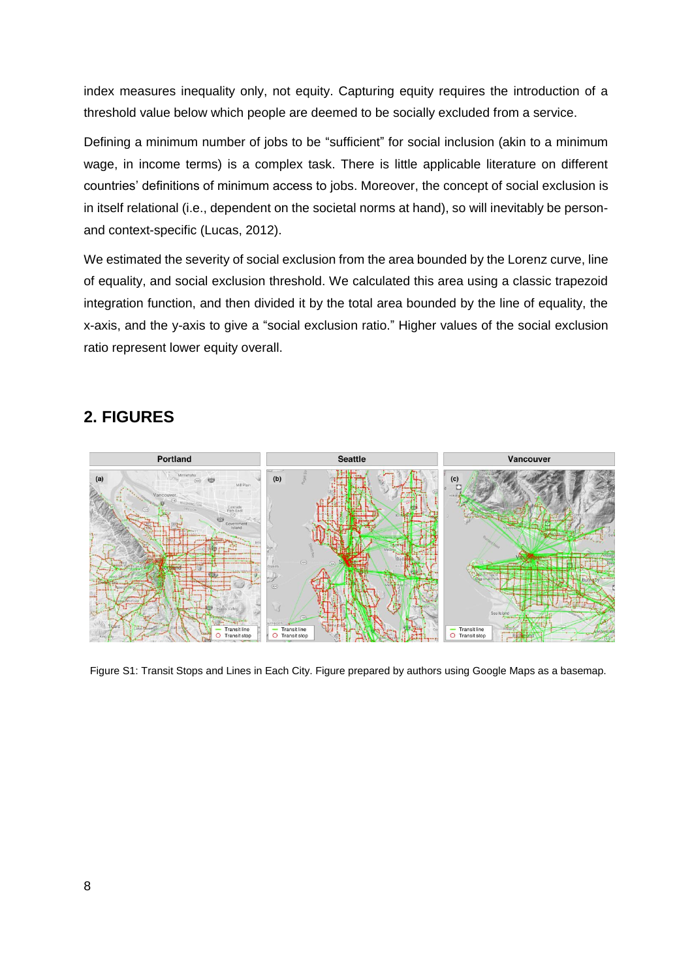index measures inequality only, not equity. Capturing equity requires the introduction of a threshold value below which people are deemed to be socially excluded from a service.

Defining a minimum number of jobs to be "sufficient" for social inclusion (akin to a minimum wage, in income terms) is a complex task. There is little applicable literature on different countries' definitions of minimum access to jobs. Moreover, the concept of social exclusion is in itself relational (i.e., dependent on the societal norms at hand), so will inevitably be personand context-specific (Lucas, 2012).

We estimated the severity of social exclusion from the area bounded by the Lorenz curve, line of equality, and social exclusion threshold. We calculated this area using a classic trapezoid integration function, and then divided it by the total area bounded by the line of equality, the x-axis, and the y-axis to give a "social exclusion ratio." Higher values of the social exclusion ratio represent lower equity overall.

## **2. FIGURES**



Figure S1: Transit Stops and Lines in Each City. Figure prepared by authors using Google Maps as a basemap.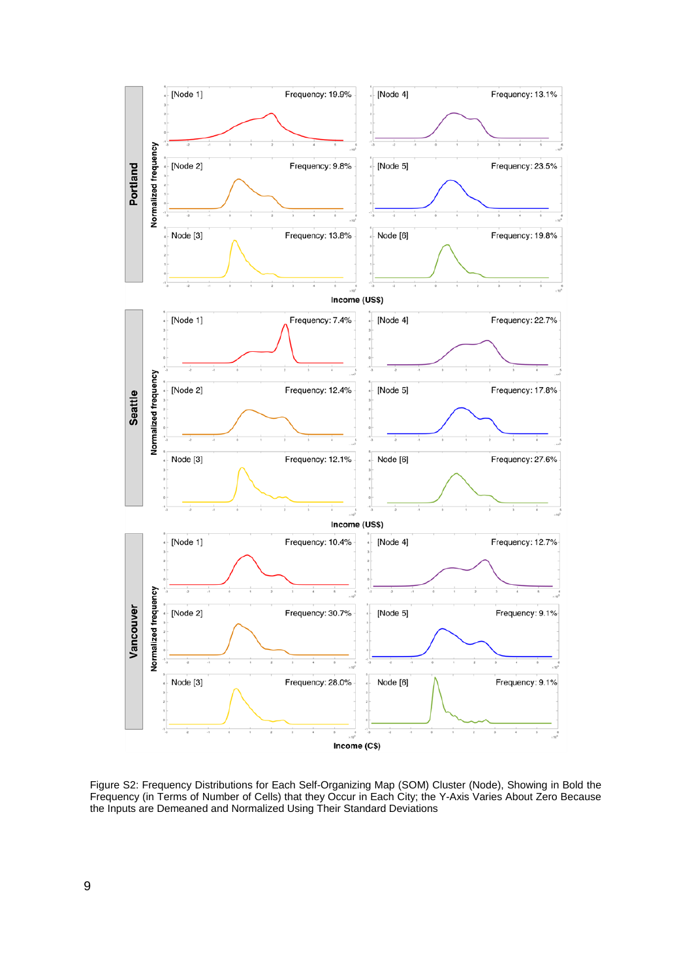

Figure S2: Frequency Distributions for Each Self-Organizing Map (SOM) Cluster (Node), Showing in Bold the Frequency (in Terms of Number of Cells) that they Occur in Each City; the Y-Axis Varies About Zero Because the Inputs are Demeaned and Normalized Using Their Standard Deviations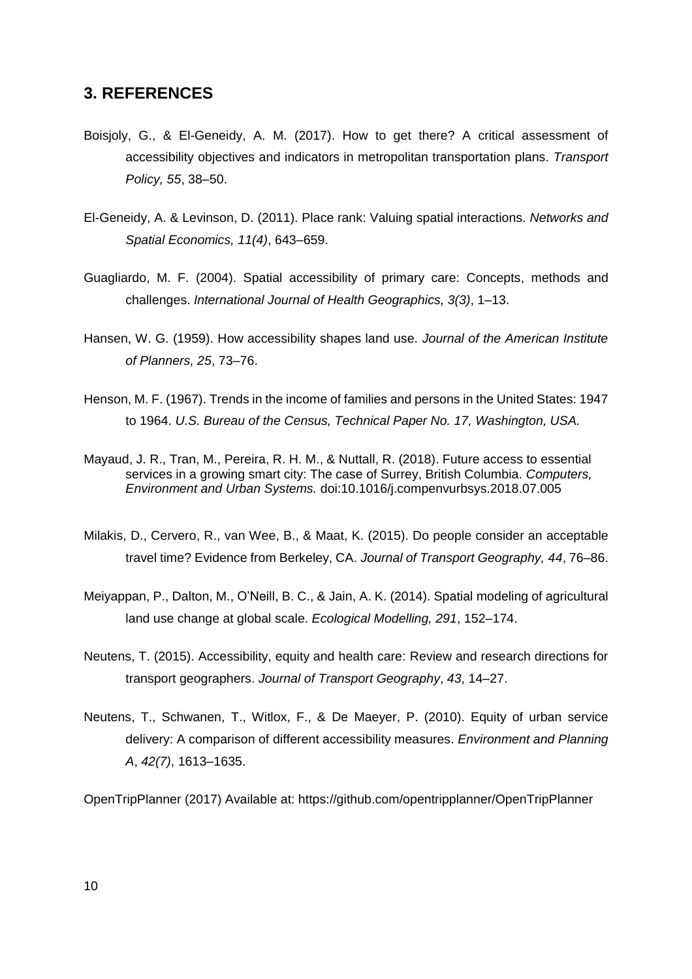### **3. REFERENCES**

- Boisjoly, G., & El-Geneidy, A. M. (2017). How to get there? A critical assessment of accessibility objectives and indicators in metropolitan transportation plans. *Transport Policy, 55*, 38–50.
- El-Geneidy, A. & Levinson, D. (2011). Place rank: Valuing spatial interactions. *Networks and Spatial Economics, 11(4)*, 643–659.
- Guagliardo, M. F. (2004). Spatial accessibility of primary care: Concepts, methods and challenges. *International Journal of Health Geographics, 3(3)*, 1–13.
- Hansen, W. G. (1959). How accessibility shapes land use. *Journal of the American Institute of Planners, 25*, 73–76.
- Henson, M. F. (1967). Trends in the income of families and persons in the United States: 1947 to 1964. *U.S. Bureau of the Census, Technical Paper No. 17, Washington, USA.*
- Mayaud, J. R., Tran, M., Pereira, R. H. M., & Nuttall, R. (2018). Future access to essential services in a growing smart city: The case of Surrey, British Columbia. *Computers, Environment and Urban Systems.* doi:10.1016/j.compenvurbsys.2018.07.005
- Milakis, D., Cervero, R., van Wee, B., & Maat, K. (2015). Do people consider an acceptable travel time? Evidence from Berkeley, CA. *Journal of Transport Geography, 44*, 76–86.
- Meiyappan, P., Dalton, M., O'Neill, B. C., & Jain, A. K. (2014). Spatial modeling of agricultural land use change at global scale. *Ecological Modelling, 291*, 152–174.
- Neutens, T. (2015). Accessibility, equity and health care: Review and research directions for transport geographers. *Journal of Transport Geography*, *43*, 14–27.
- Neutens, T., Schwanen, T., Witlox, F., & De Maeyer, P. (2010). Equity of urban service delivery: A comparison of different accessibility measures. *Environment and Planning A*, *42(7)*, 1613–1635.

OpenTripPlanner (2017) Available at: https://github.com/opentripplanner/OpenTripPlanner